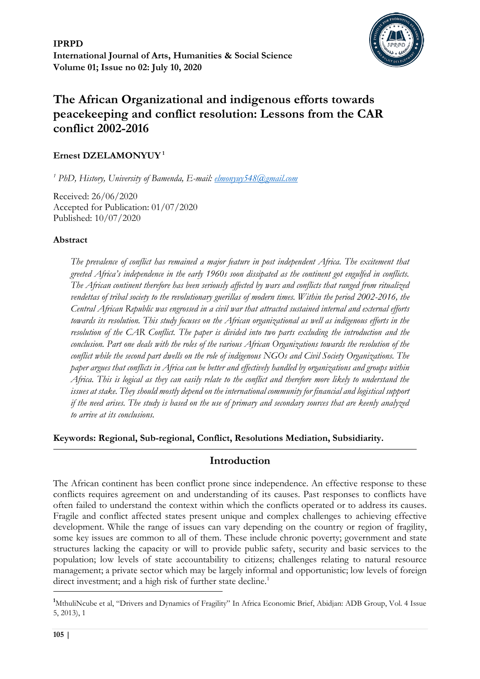**IPRPD International Journal of Arts, Humanities & Social Science Volume 01; Issue no 02: July 10, 2020**



# **The African Organizational and indigenous efforts towards peacekeeping and conflict resolution: Lessons from the CAR conflict 2002-2016**

# **Ernest DZELAMONYUY<sup>1</sup>**

*<sup>1</sup> PhD, History, University of Bamenda, E-mail: [elmonyuy548@gmail.com](mailto:elmonyuy548@gmail.com)*

Received: 26/06/2020 Accepted for Publication: 01/07/2020 Published: 10/07/2020

# **Abstract**

*The prevalence of conflict has remained a major feature in post independent Africa. The excitement that greeted Africa's independence in the early 1960s soon dissipated as the continent got engulfed in conflicts. The African continent therefore has been seriously affected by wars and conflicts that ranged from ritualized vendettas of tribal society to the revolutionary guerillas of modern times. Within the period 2002-2016, the Central African Republic was engrossed in a civil war that attracted sustained internal and external efforts towards its resolution. This study focuses on the African organizational as well as indigenous efforts in the resolution of the CAR Conflict. The paper is divided into two parts excluding the introduction and the conclusion. Part one deals with the roles of the various African Organizations towards the resolution of the conflict while the second part dwells on the role of indigenous NGOs and Civil Society Organizations. The paper argues that conflicts in Africa can be better and effectively handled by organizations and groups within Africa. This is logical as they can easily relate to the conflict and therefore more likely to understand the issues at stake. They should mostly depend on the international community for financial and logistical support if the need arises. The study is based on the use of primary and secondary sources that are keenly analyzed to arrive at its conclusions.*

**Keywords: Regional, Sub-regional, Conflict, Resolutions Mediation, Subsidiarity.** 

# **Introduction**

The African continent has been conflict prone since independence. An effective response to these conflicts requires agreement on and understanding of its causes. Past responses to conflicts have often failed to understand the context within which the conflicts operated or to address its causes. Fragile and conflict affected states present unique and complex challenges to achieving effective development. While the range of issues can vary depending on the country or region of fragility, some key issues are common to all of them. These include chronic poverty; government and state structures lacking the capacity or will to provide public safety, security and basic services to the population; low levels of state accountability to citizens; challenges relating to natural resource management; a private sector which may be largely informal and opportunistic; low levels of foreign direct investment; and a high risk of further state decline.<sup>1</sup>

<sup>&</sup>lt;sup>1</sup>MthuliNcube et al, "Drivers and Dynamics of Fragility" In Africa Economic Brief, Abidjan: ADB Group, Vol. 4 Issue 5, 2013), 1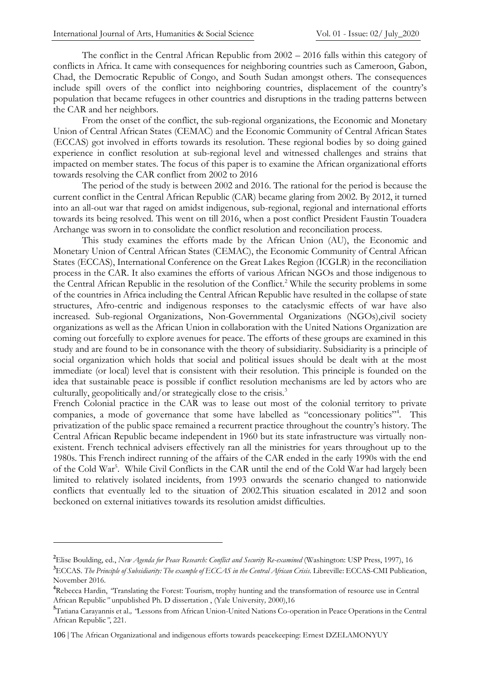The conflict in the Central African Republic from 2002 – 2016 falls within this category of conflicts in Africa. It came with consequences for neighboring countries such as Cameroon, Gabon, Chad, the Democratic Republic of Congo, and South Sudan amongst others. The consequences include spill overs of the conflict into neighboring countries, displacement of the country's population that became refugees in other countries and disruptions in the trading patterns between the CAR and her neighbors.

From the onset of the conflict, the sub-regional organizations, the Economic and Monetary Union of Central African States (CEMAC) and the Economic Community of Central African States (ECCAS) got involved in efforts towards its resolution. These regional bodies by so doing gained experience in conflict resolution at sub-regional level and witnessed challenges and strains that impacted on member states. The focus of this paper is to examine the African organizational efforts towards resolving the CAR conflict from 2002 to 2016

The period of the study is between 2002 and 2016. The rational for the period is because the current conflict in the Central African Republic (CAR) became glaring from 2002. By 2012, it turned into an all-out war that raged on amidst indigenous, sub-regional, regional and international efforts towards its being resolved. This went on till 2016, when a post conflict President Faustin Touadera Archange was sworn in to consolidate the conflict resolution and reconciliation process.

This study examines the efforts made by the African Union (AU), the Economic and Monetary Union of Central African States (CEMAC), the Economic Community of Central African States (ECCAS), International Conference on the Great Lakes Region (ICGLR) in the reconciliation process in the CAR. It also examines the efforts of various African NGOs and those indigenous to the Central African Republic in the resolution of the Conflict.<sup>2</sup> While the security problems in some of the countries in Africa including the Central African Republic have resulted in the collapse of state structures, Afro-centric and indigenous responses to the cataclysmic effects of war have also increased. Sub-regional Organizations, Non-Governmental Organizations (NGOs),civil society organizations as well as the African Union in collaboration with the United Nations Organization are coming out forcefully to explore avenues for peace. The efforts of these groups are examined in this study and are found to be in consonance with the theory of subsidiarity. Subsidiarity is a principle of social organization which holds that social and political issues should be dealt with at the most immediate (or local) level that is consistent with their resolution. This principle is founded on the idea that sustainable peace is possible if conflict resolution mechanisms are led by actors who are culturally, geopolitically and/or strategically close to the crisis.<sup>3</sup>

French Colonial practice in the CAR was to lease out most of the colonial territory to private companies, a mode of governance that some have labelled as "concessionary politics"<sup>4</sup>. This privatization of the public space remained a recurrent practice throughout the country's history. The Central African Republic became independent in 1960 but its state infrastructure was virtually nonexistent. French technical advisers effectively ran all the ministries for years throughout up to the 1980s. This French indirect running of the affairs of the CAR ended in the early 1990s with the end of the Cold War<sup>5</sup>. While Civil Conflicts in the CAR until the end of the Cold War had largely been limited to relatively isolated incidents, from 1993 onwards the scenario changed to nationwide conflicts that eventually led to the situation of 2002.This situation escalated in 2012 and soon beckoned on external initiatives towards its resolution amidst difficulties.

**<sup>2</sup>**Elise Boulding, ed., *New Agenda for Peace Research: Conflict and Security Re-examined* (Washington: USP Press, 1997), 16 **<sup>3</sup>**ECCAS. *The Principle of Subsidiarity: The example of ECCAS in the Central African Crisis.* Libreville: ECCAS-CMI Publication, November 2016.

**<sup>4</sup>**Rebecca Hardin, *"*Translating the Forest: Tourism, trophy hunting and the transformation of resource use in Central African Republic*"* unpublished Ph. D dissertation , (Yale University*,* 2000),16

**<sup>5</sup>**Tatiana Carayannis et al.*, "*Lessons from African Union-United Nations Co-operation in Peace Operations in the Central African Republic*"*, 221.

<sup>106</sup> | The African Organizational and indigenous efforts towards peacekeeping: Ernest DZELAMONYUY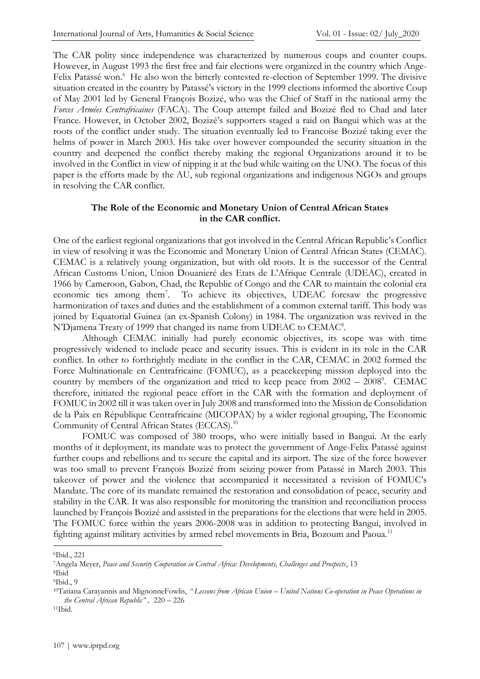The CAR polity since independence was characterized by numerous coups and counter coups. However, in August 1993 the first free and fair elections were organized in the country which Ange-Felix Patassé won.<sup>6</sup> He also won the bitterly contested re-election of September 1999. The divisive situation created in the country by Patassé's victory in the 1999 elections informed the abortive Coup of May 2001 led by General François Bozizé, who was the Chief of Staff in the national army the *Forces Armées Centrafricaines* (FACA). The Coup attempt failed and Bozizé fled to Chad and later France. However, in October 2002, Bozizé's supporters staged a raid on Bangui which was at the roots of the conflict under study. The situation eventually led to Francoise Bozizé taking ever the helms of power in March 2003. His take over however compounded the security situation in the country and deepened the conflict thereby making the regional Organizations around it to be involved in the Conflict in view of nipping it at the bud while waiting on the UNO. The focus of this paper is the efforts made by the AU, sub regional organizations and indigenous NGOs and groups in resolving the CAR conflict.

## **The Role of the Economic and Monetary Union of Central African States in the CAR conflict.**

One of the earliest regional organizations that got involved in the Central African Republic's Conflict in view of resolving it was the Economic and Monetary Union of Central African States (CEMAC). CEMAC is a relatively young organization, but with old roots. It is the successor of the Central African Customs Union, Union Douanieré des Etats de L'Afrique Centrale (UDEAC), created in 1966 by Cameroon, Gabon, Chad, the Republic of Congo and the CAR to maintain the colonial era economic ties among them<sup>7</sup>. . To achieve its objectives, UDEAC foresaw the progressive harmonization of taxes and duties and the establishment of a common external tariff. This body was joined by Equatorial Guinea (an ex-Spanish Colony) in 1984. The organization was revived in the N'Djamena Treaty of 1999 that changed its name from UDEAC to CEMAC<sup>8</sup>.

Although CEMAC initially had purely economic objectives, its scope was with time progressively widened to include peace and security issues. This is evident in its role in the CAR conflict. In other to forthrightly mediate in the conflict in the CAR, CEMAC in 2002 formed the Force Multinationale en Centrafricaine (FOMUC), as a peacekeeping mission deployed into the country by members of the organization and tried to keep peace from  $2002 - 2008$ <sup>9</sup>. CEMAC therefore, initiated the regional peace effort in the CAR with the formation and deployment of FOMUC in 2002 till it was taken over in July 2008 and transformed into the Mission de Consolidation de la Paix en République Centrafricaine (MICOPAX) by a wider regional grouping, The Economic Community of Central African States (ECCAS).<sup>10</sup>

FOMUC was composed of 380 troops, who were initially based in Bangui. At the early months of it deployment, its mandate was to protect the government of Ange-Felix Patassé against further coups and rebellions and to secure the capital and its airport. The size of the force however was too small to prevent François Bozizé from seizing power from Patassé in March 2003. This takeover of power and the violence that accompanied it necessitated a revision of FOMUC's Mandate. The core of its mandate remained the restoration and consolidation of peace, security and stability in the CAR. It was also responsible for monitoring the transition and reconciliation process launched by François Bozizé and assisted in the preparations for the elections that were held in 2005. The FOMUC force within the years 2006-2008 was in addition to protecting Bangui, involved in fighting against military activities by armed rebel movements in Bria, Bozoum and Paoua.<sup>11</sup>

<sup>6</sup>Ibid., 221

<sup>7</sup>Angela Meyer, *Peace and Security Cooperation in Central Africa: Developments, Challenges and Prospects*, 13 <sup>8</sup>Ibid

<sup>9</sup>Ibid., 9

<sup>10</sup>Tatiana Carayannis and MignonneFowlis, *" Lessons from African Union – United Nations Co-operation in Peace Operations in the Central African Republic" ,* 220 – 226

<sup>11</sup>Ibid.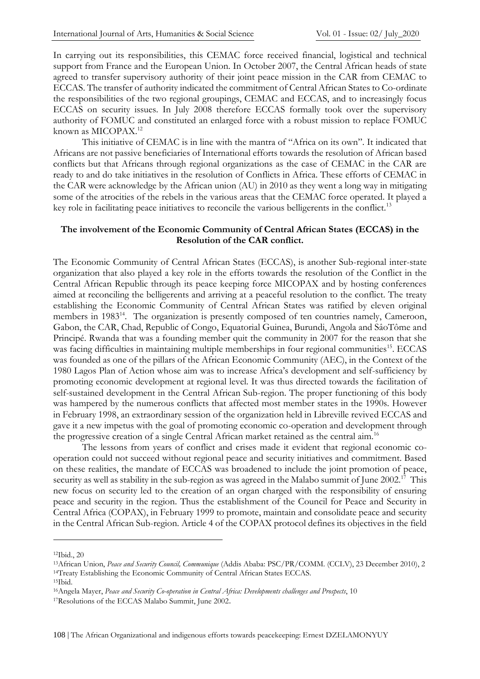In carrying out its responsibilities, this CEMAC force received financial, logistical and technical support from France and the European Union. In October 2007, the Central African heads of state agreed to transfer supervisory authority of their joint peace mission in the CAR from CEMAC to ECCAS. The transfer of authority indicated the commitment of Central African States to Co-ordinate the responsibilities of the two regional groupings, CEMAC and ECCAS, and to increasingly focus ECCAS on security issues. In July 2008 therefore ECCAS formally took over the supervisory authority of FOMUC and constituted an enlarged force with a robust mission to replace FOMUC known as MICOPAX.<sup>12</sup>

This initiative of CEMAC is in line with the mantra of "Africa on its own". It indicated that Africans are not passive beneficiaries of International efforts towards the resolution of African based conflicts but that Africans through regional organizations as the case of CEMAC in the CAR are ready to and do take initiatives in the resolution of Conflicts in Africa. These efforts of CEMAC in the CAR were acknowledge by the African union (AU) in 2010 as they went a long way in mitigating some of the atrocities of the rebels in the various areas that the CEMAC force operated. It played a key role in facilitating peace initiatives to reconcile the various belligerents in the conflict.<sup>13</sup>

### **The involvement of the Economic Community of Central African States (ECCAS) in the Resolution of the CAR conflict.**

The Economic Community of Central African States (ECCAS), is another Sub-regional inter-state organization that also played a key role in the efforts towards the resolution of the Conflict in the Central African Republic through its peace keeping force MICOPAX and by hosting conferences aimed at reconciling the belligerents and arriving at a peaceful resolution to the conflict. The treaty establishing the Economic Community of Central African States was ratified by eleven original members in 1983<sup>14</sup>. The organization is presently composed of ten countries namely, Cameroon, Gabon, the CAR, Chad, Republic of Congo, Equatorial Guinea, Burundi, Angola and SâoTôme and Principé. Rwanda that was a founding member quit the community in 2007 for the reason that she was facing difficulties in maintaining multiple memberships in four regional communities<sup>15</sup>. ECCAS was founded as one of the pillars of the African Economic Community (AEC), in the Context of the 1980 Lagos Plan of Action whose aim was to increase Africa's development and self-sufficiency by promoting economic development at regional level. It was thus directed towards the facilitation of self-sustained development in the Central African Sub-region. The proper functioning of this body was hampered by the numerous conflicts that affected most member states in the 1990s. However in February 1998, an extraordinary session of the organization held in Libreville revived ECCAS and gave it a new impetus with the goal of promoting economic co-operation and development through the progressive creation of a single Central African market retained as the central aim.<sup>16</sup>

The lessons from years of conflict and crises made it evident that regional economic cooperation could not succeed without regional peace and security initiatives and commitment. Based on these realities, the mandate of ECCAS was broadened to include the joint promotion of peace, security as well as stability in the sub-region as was agreed in the Malabo summit of June 2002.<sup>17</sup> This new focus on security led to the creation of an organ charged with the responsibility of ensuring peace and security in the region. Thus the establishment of the Council for Peace and Security in Central Africa (COPAX), in February 1999 to promote, maintain and consolidate peace and security in the Central African Sub-region. Article 4 of the COPAX protocol defines its objectives in the field

<sup>12</sup>Ibid., 20

<sup>13</sup>African Union, *Peace and Security Council, Communique* (Addis Ababa: PSC/PR/COMM. (CCLV), 23 December 2010), 2 <sup>14</sup>Treaty Establishing the Economic Community of Central African States ECCAS.

<sup>15</sup>Ibid.

<sup>16</sup>Angela Mayer, *Peace and Security Co-operation in Central Africa: Developments challenges and Prospects*, 10

<sup>17</sup>Resolutions of the ECCAS Malabo Summit, June 2002.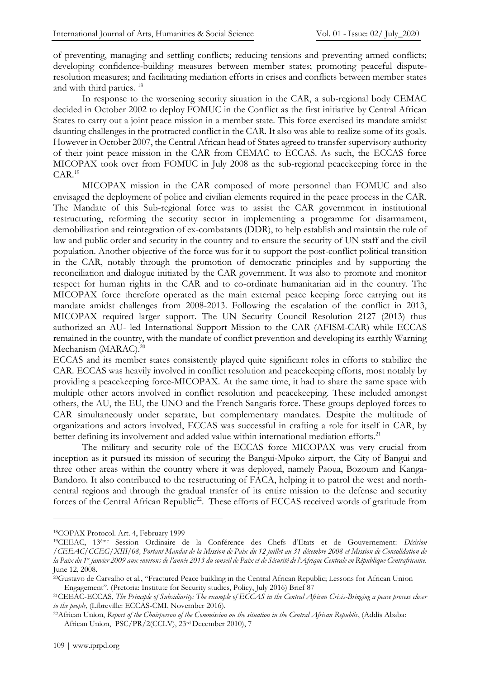of preventing, managing and settling conflicts; reducing tensions and preventing armed conflicts; developing confidence-building measures between member states; promoting peaceful disputeresolution measures; and facilitating mediation efforts in crises and conflicts between member states and with third parties. <sup>18</sup>

In response to the worsening security situation in the CAR, a sub-regional body CEMAC decided in October 2002 to deploy FOMUC in the Conflict as the first initiative by Central African States to carry out a joint peace mission in a member state. This force exercised its mandate amidst daunting challenges in the protracted conflict in the CAR. It also was able to realize some of its goals. However in October 2007, the Central African head of States agreed to transfer supervisory authority of their joint peace mission in the CAR from CEMAC to ECCAS. As such, the ECCAS force MICOPAX took over from FOMUC in July 2008 as the sub-regional peacekeeping force in the CAR.<sup>19</sup>

MICOPAX mission in the CAR composed of more personnel than FOMUC and also envisaged the deployment of police and civilian elements required in the peace process in the CAR. The Mandate of this Sub-regional force was to assist the CAR government in institutional restructuring, reforming the security sector in implementing a programme for disarmament, demobilization and reintegration of ex-combatants (DDR), to help establish and maintain the rule of law and public order and security in the country and to ensure the security of UN staff and the civil population. Another objective of the force was for it to support the post-conflict political transition in the CAR, notably through the promotion of democratic principles and by supporting the reconciliation and dialogue initiated by the CAR government. It was also to promote and monitor respect for human rights in the CAR and to co-ordinate humanitarian aid in the country. The MICOPAX force therefore operated as the main external peace keeping force carrying out its mandate amidst challenges from 2008-2013. Following the escalation of the conflict in 2013, MICOPAX required larger support. The UN Security Council Resolution 2127 (2013) thus authorized an AU- led International Support Mission to the CAR (AFISM-CAR) while ECCAS remained in the country, with the mandate of conflict prevention and developing its earthly Warning Mechanism (MARAC).<sup>20</sup>

ECCAS and its member states consistently played quite significant roles in efforts to stabilize the CAR. ECCAS was heavily involved in conflict resolution and peacekeeping efforts, most notably by providing a peacekeeping force-MICOPAX. At the same time, it had to share the same space with multiple other actors involved in conflict resolution and peacekeeping. These included amongst others, the AU, the EU, the UNO and the French Sangaris force. These groups deployed forces to CAR simultaneously under separate, but complementary mandates. Despite the multitude of organizations and actors involved, ECCAS was successful in crafting a role for itself in CAR, by better defining its involvement and added value within international mediation efforts.<sup>21</sup>

The military and security role of the ECCAS force MICOPAX was very crucial from inception as it pursued its mission of securing the Bangui-Mpoko airport, the City of Bangui and three other areas within the country where it was deployed, namely Paoua, Bozoum and Kanga-Bandoro. It also contributed to the restructuring of FACA, helping it to patrol the west and northcentral regions and through the gradual transfer of its entire mission to the defense and security forces of the Central African Republic<sup>22</sup>. These efforts of ECCAS received words of gratitude from

<sup>18</sup>COPAX Protocol. Art. 4, February 1999

<sup>19</sup>CEEAC, 13éme Session Ordinaire de la Conférence des Chefs d'Etats et de Gouvernement: *Décision /CEEAC/CCEG/XIII/08, Portant Mandat de la Mission de Paix du 12 juillet au 31 décembre 2008 et Mission de Consolidation de la Paix du 1er janvier 2009 aux environs de l'année 2013 du conseil de Paix et de Sécurité de l'Afrique Centrale en République Centrafricaine.*  June 12, 2008*.*

<sup>20</sup>Gustavo de Carvalho et al., "Fractured Peace building in the Central African Republic; Lessons for African Union Engagement". (Pretoria: Institute for Security studies, Policy, July 2016) Brief 87

<sup>21</sup>CEEAC-ECCAS, *The Principle of Subsidiarity: The example of ECCAS in the Central African Crisis-Bringing a peace process closer to the people,* (Libreville: ECCAS-CMI, November 2016).

<sup>&</sup>lt;sup>22</sup>African Union, *Report of the Chairperson of the Commission on the situation in the Central African Republic, (Addis Ababa:* African Union, PSC/PR/2(CCLV), 23rd December 2010), 7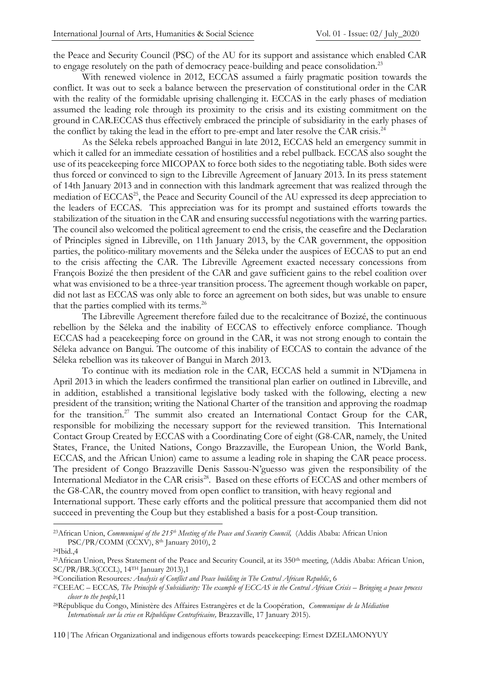the Peace and Security Council (PSC) of the AU for its support and assistance which enabled CAR to engage resolutely on the path of democracy peace-building and peace consolidation.<sup>23</sup>

With renewed violence in 2012, ECCAS assumed a fairly pragmatic position towards the conflict. It was out to seek a balance between the preservation of constitutional order in the CAR with the reality of the formidable uprising challenging it. ECCAS in the early phases of mediation assumed the leading role through its proximity to the crisis and its existing commitment on the ground in CAR.ECCAS thus effectively embraced the principle of subsidiarity in the early phases of the conflict by taking the lead in the effort to pre-empt and later resolve the CAR crisis.<sup>24</sup>

As the Séleka rebels approached Bangui in late 2012, ECCAS held an emergency summit in which it called for an immediate cessation of hostilities and a rebel pullback. ECCAS also sought the use of its peacekeeping force MICOPAX to force both sides to the negotiating table. Both sides were thus forced or convinced to sign to the Libreville Agreement of January 2013. In its press statement of 14th January 2013 and in connection with this landmark agreement that was realized through the mediation of ECCAS<sup>25</sup>, the Peace and Security Council of the AU expressed its deep appreciation to the leaders of ECCAS. This appreciation was for its prompt and sustained efforts towards the stabilization of the situation in the CAR and ensuring successful negotiations with the warring parties. The council also welcomed the political agreement to end the crisis, the ceasefire and the Declaration of Principles signed in Libreville, on 11th January 2013, by the CAR government, the opposition parties, the politico-military movements and the Séleka under the auspices of ECCAS to put an end to the crisis affecting the CAR. The Libreville Agreement exacted necessary concessions from François Bozizé the then president of the CAR and gave sufficient gains to the rebel coalition over what was envisioned to be a three-year transition process. The agreement though workable on paper, did not last as ECCAS was only able to force an agreement on both sides, but was unable to ensure that the parties complied with its terms.<sup>26</sup>

The Libreville Agreement therefore failed due to the recalcitrance of Bozizé, the continuous rebellion by the Séleka and the inability of ECCAS to effectively enforce compliance. Though ECCAS had a peacekeeping force on ground in the CAR, it was not strong enough to contain the Séleka advance on Bangui. The outcome of this inability of ECCAS to contain the advance of the Séleka rebellion was its takeover of Bangui in March 2013.

To continue with its mediation role in the CAR, ECCAS held a summit in N'Djamena in April 2013 in which the leaders confirmed the transitional plan earlier on outlined in Libreville, and in addition, established a transitional legislative body tasked with the following, electing a new president of the transition; writing the National Charter of the transition and approving the roadmap for the transition.<sup>27</sup> The summit also created an International Contact Group for the CAR, responsible for mobilizing the necessary support for the reviewed transition. This International Contact Group Created by ECCAS with a Coordinating Core of eight (G8-CAR, namely, the United States, France, the United Nations, Congo Brazzaville, the European Union, the World Bank, ECCAS, and the African Union) came to assume a leading role in shaping the CAR peace process. The president of Congo Brazzaville Denis Sassou-N'guesso was given the responsibility of the International Mediator in the CAR crisis<sup>28</sup>. Based on these efforts of ECCAS and other members of the G8-CAR, the country moved from open conflict to transition, with heavy regional and International support. These early efforts and the political pressure that accompanied them did not succeed in preventing the Coup but they established a basis for a post-Coup transition.

110 | The African Organizational and indigenous efforts towards peacekeeping: Ernest DZELAMONYUY

<sup>23</sup>African Union, *Communiqué of the 215th Meeting of the Peace and Security Council,* (Addis Ababa: African Union PSC/PR/COMM (CCXV), 8th January 2010), 2

<sup>24</sup>Ibid.,4

<sup>&</sup>lt;sup>25</sup>African Union, Press Statement of the Peace and Security Council, at its 350<sup>th</sup> meeting, (Addis Ababa: African Union, SC/PR/BR.3(CCCL), 14TH January 2013),1

<sup>26</sup>Conciliation Resources*: Analysis of Conflict and Peace building in The Central African Republic*, 6

<sup>27</sup>CEEAC – ECCAS*, The Principle of Subsidiarity: The example of ECCAS in the Central African Crisis – Bringing a peace process closer to the people*,11

<sup>28</sup>République du Congo, Ministère des Affaires Estrangères et de la Coopération, *Communique de la Médiation Internationale sur la crise en République Centrafricaine,* Brazzaville, 17 January 2015).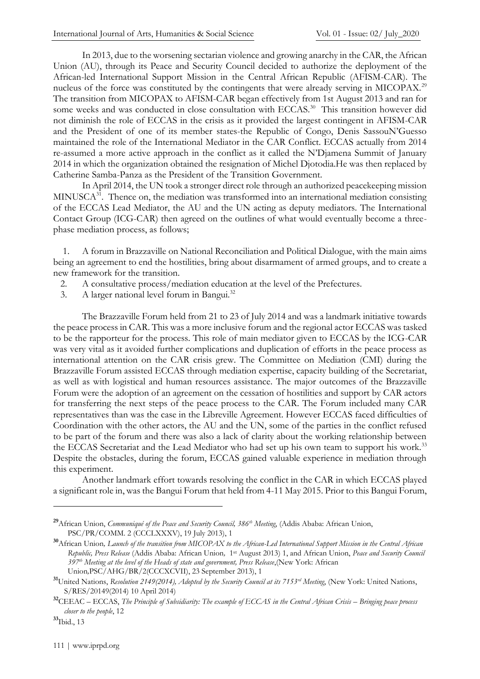In 2013, due to the worsening sectarian violence and growing anarchy in the CAR, the African Union (AU), through its Peace and Security Council decided to authorize the deployment of the African-led International Support Mission in the Central African Republic (AFISM-CAR). The nucleus of the force was constituted by the contingents that were already serving in MICOPAX.<sup>29</sup> The transition from MICOPAX to AFISM-CAR began effectively from 1st August 2013 and ran for some weeks and was conducted in close consultation with ECCAS.<sup>30</sup> This transition however did not diminish the role of ECCAS in the crisis as it provided the largest contingent in AFISM-CAR and the President of one of its member states-the Republic of Congo, Denis SassouN'Guesso maintained the role of the International Mediator in the CAR Conflict. ECCAS actually from 2014 re-assumed a more active approach in the conflict as it called the N'Djamena Summit of January 2014 in which the organization obtained the resignation of Michel Djotodia.He was then replaced by Catherine Samba-Panza as the President of the Transition Government.

In April 2014, the UN took a stronger direct role through an authorized peacekeeping mission MINUSCA<sup>31</sup>. Thence on, the mediation was transformed into an international mediation consisting of the ECCAS Lead Mediator, the AU and the UN acting as deputy mediators. The International Contact Group (ICG-CAR) then agreed on the outlines of what would eventually become a threephase mediation process, as follows;

 1. A forum in Brazzaville on National Reconciliation and Political Dialogue, with the main aims being an agreement to end the hostilities, bring about disarmament of armed groups, and to create a new framework for the transition.

- 2. A consultative process/mediation education at the level of the Prefectures.
- 3. A larger national level forum in Bangui.<sup>32</sup>

The Brazzaville Forum held from 21 to 23 of July 2014 and was a landmark initiative towards the peace process in CAR. This was a more inclusive forum and the regional actor ECCAS was tasked to be the rapporteur for the process. This role of main mediator given to ECCAS by the ICG-CAR was very vital as it avoided further complications and duplication of efforts in the peace process as international attention on the CAR crisis grew. The Committee on Mediation (CMI) during the Brazzaville Forum assisted ECCAS through mediation expertise, capacity building of the Secretariat, as well as with logistical and human resources assistance. The major outcomes of the Brazzaville Forum were the adoption of an agreement on the cessation of hostilities and support by CAR actors for transferring the next steps of the peace process to the CAR. The Forum included many CAR representatives than was the case in the Libreville Agreement. However ECCAS faced difficulties of Coordination with the other actors, the AU and the UN, some of the parties in the conflict refused to be part of the forum and there was also a lack of clarity about the working relationship between the ECCAS Secretariat and the Lead Mediator who had set up his own team to support his work.<sup>33</sup> Despite the obstacles, during the forum, ECCAS gained valuable experience in mediation through this experiment.

Another landmark effort towards resolving the conflict in the CAR in which ECCAS played a significant role in, was the Bangui Forum that held from 4-11 May 2015. Prior to this Bangui Forum,

**<sup>29</sup>**African Union, *Communiqué of the Peace and Security Council, 386th Meeting*, (Addis Ababa: African Union, PSC/PR/COMM. 2 (CCCLXXXV), 19 July 2013), 1

**<sup>30</sup>**African Union*, Launch of the transition from MICOPAX to the African-Led International Support Mission in the Central African Republic, Press Release* (Addis Ababa: African Union*,* 1 st August 2013) 1, and African Union, *Peace and Security Council 397th Meeting at the level of the Heads of state and government, Press Release*,(New York: African Union*,*PSC/AHG/BR/2(CCCXCVII), 23 September 2013), 1

**<sup>31</sup>**United Nations, *Resolution 2149(2014), Adopted by the Security Council at its 7153rd Meeting*, (New York: United Nations, S/RES/20149(2014) 10 April 2014)

**<sup>32</sup>**CEEAC – ECCAS, *The Principle of Subsidiarity: The example of ECCAS in the Central African Crisis – Bringing peace process closer to the people*, 12

**<sup>33</sup>**Ibid., 13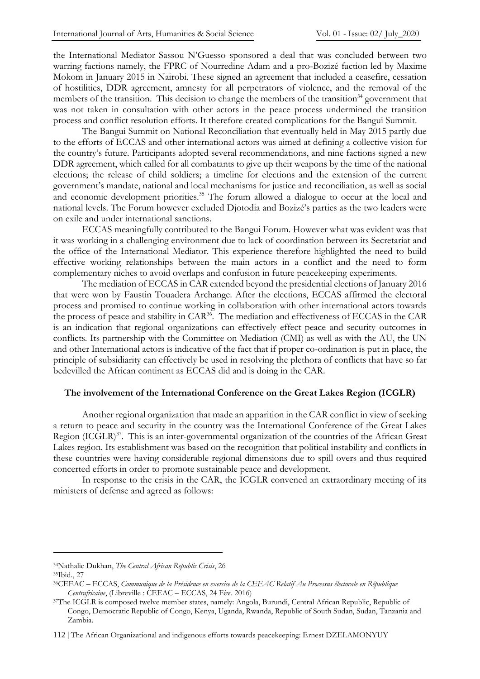the International Mediator Sassou N'Guesso sponsored a deal that was concluded between two warring factions namely, the FPRC of Nourredine Adam and a pro-Bozizé faction led by Maxime Mokom in January 2015 in Nairobi. These signed an agreement that included a ceasefire, cessation of hostilities, DDR agreement, amnesty for all perpetrators of violence, and the removal of the members of the transition. This decision to change the members of the transition<sup>34</sup> government that was not taken in consultation with other actors in the peace process undermined the transition process and conflict resolution efforts. It therefore created complications for the Bangui Summit.

The Bangui Summit on National Reconciliation that eventually held in May 2015 partly due to the efforts of ECCAS and other international actors was aimed at defining a collective vision for the country's future. Participants adopted several recommendations, and nine factions signed a new DDR agreement, which called for all combatants to give up their weapons by the time of the national elections; the release of child soldiers; a timeline for elections and the extension of the current government's mandate, national and local mechanisms for justice and reconciliation, as well as social and economic development priorities.<sup>35</sup> The forum allowed a dialogue to occur at the local and national levels. The Forum however excluded Djotodia and Bozizé's parties as the two leaders were on exile and under international sanctions.

ECCAS meaningfully contributed to the Bangui Forum. However what was evident was that it was working in a challenging environment due to lack of coordination between its Secretariat and the office of the International Mediator. This experience therefore highlighted the need to build effective working relationships between the main actors in a conflict and the need to form complementary niches to avoid overlaps and confusion in future peacekeeping experiments.

The mediation of ECCAS in CAR extended beyond the presidential elections of January 2016 that were won by Faustin Touadera Archange. After the elections, ECCAS affirmed the electoral process and promised to continue working in collaboration with other international actors towards the process of peace and stability in CAR<sup>36</sup>. The mediation and effectiveness of ECCAS in the CAR is an indication that regional organizations can effectively effect peace and security outcomes in conflicts. Its partnership with the Committee on Mediation (CMI) as well as with the AU, the UN and other International actors is indicative of the fact that if proper co-ordination is put in place, the principle of subsidiarity can effectively be used in resolving the plethora of conflicts that have so far bedevilled the African continent as ECCAS did and is doing in the CAR.

#### **The involvement of the International Conference on the Great Lakes Region (ICGLR)**

Another regional organization that made an apparition in the CAR conflict in view of seeking a return to peace and security in the country was the International Conference of the Great Lakes Region (ICGLR)<sup>37</sup>. This is an inter-governmental organization of the countries of the African Great Lakes region. Its establishment was based on the recognition that political instability and conflicts in these countries were having considerable regional dimensions due to spill overs and thus required concerted efforts in order to promote sustainable peace and development.

In response to the crisis in the CAR, the ICGLR convened an extraordinary meeting of its ministers of defense and agreed as follows:

<sup>34</sup>Nathalie Dukhan, *The Central African Republic Crisis*, 26

<sup>35</sup>Ibid., 27

<sup>36</sup>CEEAC – ECCAS, *Communique de la Présidence en exercice de la CEEAC Relatif Au Processus électorale en République Centrafricaine*, (Libreville : CEEAC – ECCAS, 24 Fév. 2016)

<sup>37</sup>The ICGLR is composed twelve member states, namely: Angola, Burundi, Central African Republic, Republic of Congo, Democratic Republic of Congo, Kenya, Uganda, Rwanda, Republic of South Sudan, Sudan, Tanzania and Zambia.

<sup>112</sup> | The African Organizational and indigenous efforts towards peacekeeping: Ernest DZELAMONYUY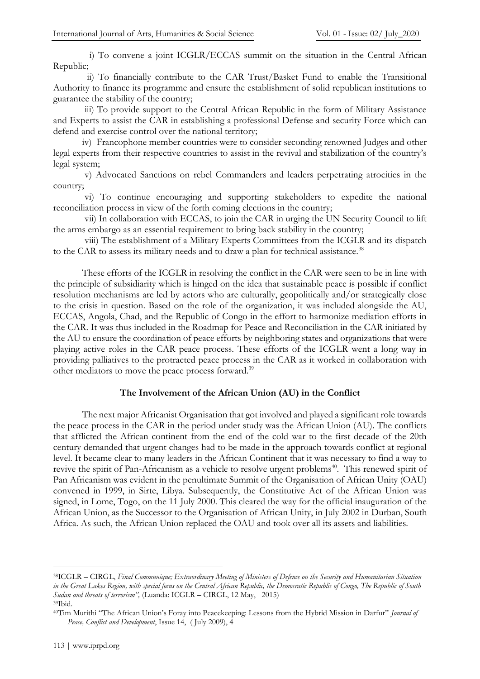i) To convene a joint ICGLR/ECCAS summit on the situation in the Central African Republic;

 ii) To financially contribute to the CAR Trust/Basket Fund to enable the Transitional Authority to finance its programme and ensure the establishment of solid republican institutions to guarantee the stability of the country;

iii) To provide support to the Central African Republic in the form of Military Assistance and Experts to assist the CAR in establishing a professional Defense and security Force which can defend and exercise control over the national territory;

 iv) Francophone member countries were to consider seconding renowned Judges and other legal experts from their respective countries to assist in the revival and stabilization of the country's legal system;

v) Advocated Sanctions on rebel Commanders and leaders perpetrating atrocities in the country;

vi) To continue encouraging and supporting stakeholders to expedite the national reconciliation process in view of the forth coming elections in the country;

vii) In collaboration with ECCAS, to join the CAR in urging the UN Security Council to lift the arms embargo as an essential requirement to bring back stability in the country;

viii) The establishment of a Military Experts Committees from the ICGLR and its dispatch to the CAR to assess its military needs and to draw a plan for technical assistance.<sup>38</sup>

These efforts of the ICGLR in resolving the conflict in the CAR were seen to be in line with the principle of subsidiarity which is hinged on the idea that sustainable peace is possible if conflict resolution mechanisms are led by actors who are culturally, geopolitically and/or strategically close to the crisis in question. Based on the role of the organization, it was included alongside the AU, ECCAS, Angola, Chad, and the Republic of Congo in the effort to harmonize mediation efforts in the CAR. It was thus included in the Roadmap for Peace and Reconciliation in the CAR initiated by the AU to ensure the coordination of peace efforts by neighboring states and organizations that were playing active roles in the CAR peace process. These efforts of the ICGLR went a long way in providing palliatives to the protracted peace process in the CAR as it worked in collaboration with other mediators to move the peace process forward.<sup>39</sup>

## **The Involvement of the African Union (AU) in the Conflict**

The next major Africanist Organisation that got involved and played a significant role towards the peace process in the CAR in the period under study was the African Union (AU). The conflicts that afflicted the African continent from the end of the cold war to the first decade of the 20th century demanded that urgent changes had to be made in the approach towards conflict at regional level. It became clear to many leaders in the African Continent that it was necessary to find a way to revive the spirit of Pan-Africanism as a vehicle to resolve urgent problems<sup>40</sup>. This renewed spirit of Pan Africanism was evident in the penultimate Summit of the Organisation of African Unity (OAU) convened in 1999, in Sirte, Libya. Subsequently, the Constitutive Act of the African Union was signed, in Lome, Togo, on the 11 July 2000. This cleared the way for the official inauguration of the African Union, as the Successor to the Organisation of African Unity, in July 2002 in Durban, South Africa. As such, the African Union replaced the OAU and took over all its assets and liabilities.

<sup>38</sup>ICGLR – CIRGL, *Final Communique; Extraordinary Meeting of Ministers of Defence on the Security and Humanitarian Situation in the Great Lakes Region, with special focus on the Central African Republic, the Democratic Republic of Congo, The Republic of South Sudan and threats of terrorism",* (Luanda: ICGLR – CIRGL, 12 May, 2015)

<sup>39</sup>Ibid.

<sup>40</sup>Tim Murithi "The African Union's Foray into Peacekeeping: Lessons from the Hybrid Mission in Darfur" *Journal of Peace, Conflict and Development*, Issue 14, ( July 2009), 4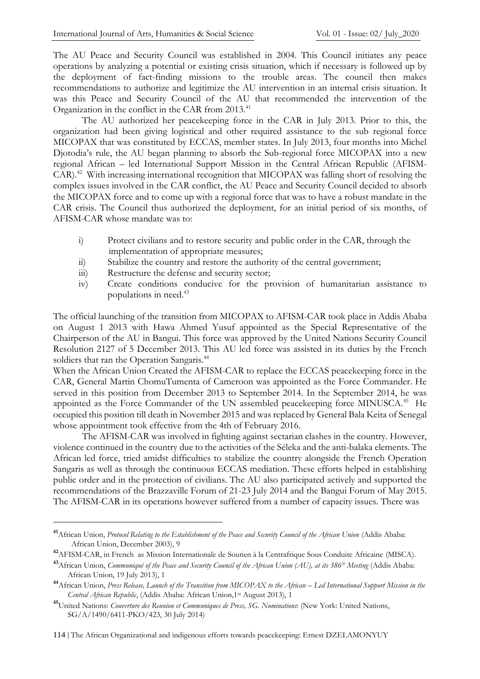The AU Peace and Security Council was established in 2004. This Council initiates any peace operations by analyzing a potential or existing crisis situation, which if necessary is followed up by the deployment of fact-finding missions to the trouble areas. The council then makes recommendations to authorize and legitimize the AU intervention in an internal crisis situation. It was this Peace and Security Council of the AU that recommended the intervention of the Organization in the conflict in the CAR from 2013.<sup>41</sup>

The AU authorized her peacekeeping force in the CAR in July 2013. Prior to this, the organization had been giving logistical and other required assistance to the sub regional force MICOPAX that was constituted by ECCAS, member states. In July 2013, four months into Michel Djotodia's rule, the AU began planning to absorb the Sub-regional force MICOPAX into a new regional African – led International Support Mission in the Central African Republic (AFISM-CAR).<sup>42</sup> With increasing international recognition that MICOPAX was falling short of resolving the complex issues involved in the CAR conflict, the AU Peace and Security Council decided to absorb the MICOPAX force and to come up with a regional force that was to have a robust mandate in the CAR crisis. The Council thus authorized the deployment, for an initial period of six months, of AFISM-CAR whose mandate was to:

- i) Protect civilians and to restore security and public order in the CAR, through the implementation of appropriate measures;
- ii) Stabilize the country and restore the authority of the central government;
- iii) Restructure the defense and security sector;
- iv) Create conditions conducive for the provision of humanitarian assistance to populations in need.<sup>43</sup>

The official launching of the transition from MICOPAX to AFISM-CAR took place in Addis Ababa on August 1 2013 with Hawa Ahmed Yusuf appointed as the Special Representative of the Chairperson of the AU in Bangui. This force was approved by the United Nations Security Council Resolution 2127 of 5 December 2013. This AU led force was assisted in its duties by the French soldiers that ran the Operation Sangaris.<sup>44</sup>

When the African Union Created the AFISM-CAR to replace the ECCAS peacekeeping force in the CAR, General Martin ChomuTumenta of Cameroon was appointed as the Force Commander. He served in this position from December 2013 to September 2014. In the September 2014, he was appointed as the Force Commander of the UN assembled peacekeeping force MINUSCA.<sup>45</sup> He occupied this position till death in November 2015 and was replaced by General Bala Keita of Senegal whose appointment took effective from the 4th of February 2016.

The AFISM-CAR was involved in fighting against sectarian clashes in the country. However, violence continued in the country due to the activities of the Séleka and the anti-balaka elements. The African led force, tried amidst difficulties to stabilize the country alongside the French Operation Sangaris as well as through the continuous ECCAS mediation. These efforts helped in establishing public order and in the protection of civilians. The AU also participated actively and supported the recommendations of the Brazzaville Forum of 21-23 July 2014 and the Bangui Forum of May 2015. The AFISM-CAR in its operations however suffered from a number of capacity issues. There was

**<sup>41</sup>**African Union, *Protocol Relating to the Establishment of the Peace and Security Council of the African Union* (Addis Ababa: African Union, December 2003), 9

**<sup>42</sup>**AFISM-CAR, in French as Mission Internationale de Soutien à la Centrafrique Sous Conduite Africaine (MISCA).

**<sup>43</sup>**African Union, *Communiqué of the Peace and Security Council of the African Union (AU), at its 386th Meeting* (Addis Ababa: African Union, 19 July 2013), 1

<sup>&</sup>lt;sup>44</sup>African Union, *Press Release, Launch of the Transition from MICOPAX to the African – Led International Support Mission in the Central African Republic*, (Addis Ababa: African Union,1st August 2013), 1

**<sup>45</sup>**United Nations: *Couverture des Reunion et Communiques de Press, SG. Nominations*: (New York: United Nations, SG/A/1490/6411-PKO/423, 30 July 2014)

<sup>114</sup> | The African Organizational and indigenous efforts towards peacekeeping: Ernest DZELAMONYUY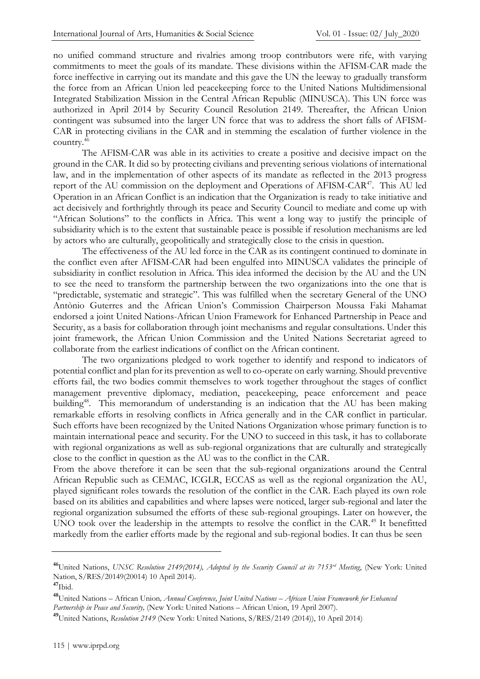no unified command structure and rivalries among troop contributors were rife, with varying commitments to meet the goals of its mandate. These divisions within the AFISM-CAR made the force ineffective in carrying out its mandate and this gave the UN the leeway to gradually transform the force from an African Union led peacekeeping force to the United Nations Multidimensional Integrated Stabilization Mission in the Central African Republic (MINUSCA). This UN force was authorized in April 2014 by Security Council Resolution 2149. Thereafter, the African Union contingent was subsumed into the larger UN force that was to address the short falls of AFISM-CAR in protecting civilians in the CAR and in stemming the escalation of further violence in the country.<sup>46</sup>

The AFISM-CAR was able in its activities to create a positive and decisive impact on the ground in the CAR. It did so by protecting civilians and preventing serious violations of international law, and in the implementation of other aspects of its mandate as reflected in the 2013 progress report of the AU commission on the deployment and Operations of AFISM-CAR<sup>47</sup>. This AU led Operation in an African Conflict is an indication that the Organization is ready to take initiative and act decisively and forthrightly through its peace and Security Council to mediate and come up with "African Solutions" to the conflicts in Africa. This went a long way to justify the principle of subsidiarity which is to the extent that sustainable peace is possible if resolution mechanisms are led by actors who are culturally, geopolitically and strategically close to the crisis in question.

The effectiveness of the AU led force in the CAR as its contingent continued to dominate in the conflict even after AFISM-CAR had been engulfed into MINUSCA validates the principle of subsidiarity in conflict resolution in Africa. This idea informed the decision by the AU and the UN to see the need to transform the partnership between the two organizations into the one that is "predictable, systematic and strategic". This was fulfilled when the secretary General of the UNO Antònio Guterres and the African Union's Commission Chairperson Moussa Faki Mahamat endorsed a joint United Nations-African Union Framework for Enhanced Partnership in Peace and Security, as a basis for collaboration through joint mechanisms and regular consultations. Under this joint framework, the African Union Commission and the United Nations Secretariat agreed to collaborate from the earliest indications of conflict on the African continent.

The two organizations pledged to work together to identify and respond to indicators of potential conflict and plan for its prevention as well to co-operate on early warning. Should preventive efforts fail, the two bodies commit themselves to work together throughout the stages of conflict management preventive diplomacy, mediation, peacekeeping, peace enforcement and peace building<sup>48</sup>. This memorandum of understanding is an indication that the AU has been making remarkable efforts in resolving conflicts in Africa generally and in the CAR conflict in particular. Such efforts have been recognized by the United Nations Organization whose primary function is to maintain international peace and security. For the UNO to succeed in this task, it has to collaborate with regional organizations as well as sub-regional organizations that are culturally and strategically close to the conflict in question as the AU was to the conflict in the CAR.

From the above therefore it can be seen that the sub-regional organizations around the Central African Republic such as CEMAC, ICGLR, ECCAS as well as the regional organization the AU, played significant roles towards the resolution of the conflict in the CAR. Each played its own role based on its abilities and capabilities and where lapses were noticed, larger sub-regional and later the regional organization subsumed the efforts of these sub-regional groupings. Later on however, the UNO took over the leadership in the attempts to resolve the conflict in the CAR.<sup>49</sup> It benefitted markedly from the earlier efforts made by the regional and sub-regional bodies. It can thus be seen

**<sup>46</sup>**United Nations, *UNSC Resolution 2149(2014), Adopted by the Security Council at its 7153rd Meeting*, (New York: United Nation, S/RES/20149(20014) 10 April 2014).

**<sup>47</sup>**Ibid.

**<sup>48</sup>**United Nations – African Union*, Annual Conference, Joint United Nations – African Union Framework for Enhanced Partnership in Peace and Security,* (New York: United Nations – African Union, 19 April 2007).

**<sup>49</sup>**United Nations, *Resolution 2149* (New York: United Nations, S/RES/2149 (2014)), 10 April 2014)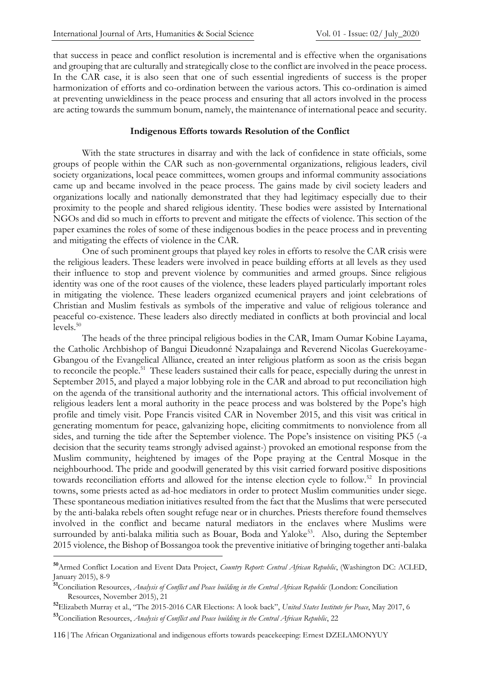that success in peace and conflict resolution is incremental and is effective when the organisations and grouping that are culturally and strategically close to the conflict are involved in the peace process. In the CAR case, it is also seen that one of such essential ingredients of success is the proper harmonization of efforts and co-ordination between the various actors. This co-ordination is aimed at preventing unwieldiness in the peace process and ensuring that all actors involved in the process are acting towards the summum bonum, namely, the maintenance of international peace and security.

#### **Indigenous Efforts towards Resolution of the Conflict**

With the state structures in disarray and with the lack of confidence in state officials, some groups of people within the CAR such as non-governmental organizations, religious leaders, civil society organizations, local peace committees, women groups and informal community associations came up and became involved in the peace process. The gains made by civil society leaders and organizations locally and nationally demonstrated that they had legitimacy especially due to their proximity to the people and shared religious identity. These bodies were assisted by International NGOs and did so much in efforts to prevent and mitigate the effects of violence. This section of the paper examines the roles of some of these indigenous bodies in the peace process and in preventing and mitigating the effects of violence in the CAR.

One of such prominent groups that played key roles in efforts to resolve the CAR crisis were the religious leaders. These leaders were involved in peace building efforts at all levels as they used their influence to stop and prevent violence by communities and armed groups. Since religious identity was one of the root causes of the violence, these leaders played particularly important roles in mitigating the violence. These leaders organized ecumenical prayers and joint celebrations of Christian and Muslim festivals as symbols of the imperative and value of religious tolerance and peaceful co-existence. These leaders also directly mediated in conflicts at both provincial and local levels.<sup>50</sup>

The heads of the three principal religious bodies in the CAR, Imam Oumar Kobine Layama, the Catholic Archbishop of Bangui Dieudonné Nzapalainga and Reverend Nicolas Guerekoyame-Gbangou of the Evangelical Alliance, created an inter religious platform as soon as the crisis began to reconcile the people.<sup>51</sup> These leaders sustained their calls for peace, especially during the unrest in September 2015, and played a major lobbying role in the CAR and abroad to put reconciliation high on the agenda of the transitional authority and the international actors. This official involvement of religious leaders lent a moral authority in the peace process and was bolstered by the Pope's high profile and timely visit. Pope Francis visited CAR in November 2015, and this visit was critical in generating momentum for peace, galvanizing hope, eliciting commitments to nonviolence from all sides, and turning the tide after the September violence. The Pope's insistence on visiting PK5 (-a decision that the security teams strongly advised against-) provoked an emotional response from the Muslim community, heightened by images of the Pope praying at the Central Mosque in the neighbourhood. The pride and goodwill generated by this visit carried forward positive dispositions towards reconciliation efforts and allowed for the intense election cycle to follow.<sup>52</sup> In provincial towns, some priests acted as ad-hoc mediators in order to protect Muslim communities under siege. These spontaneous mediation initiatives resulted from the fact that the Muslims that were persecuted by the anti-balaka rebels often sought refuge near or in churches. Priests therefore found themselves involved in the conflict and became natural mediators in the enclaves where Muslims were surrounded by anti-balaka militia such as Bouar, Boda and Yaloke<sup>53</sup>. Also, during the September 2015 violence, the Bishop of Bossangoa took the preventive initiative of bringing together anti-balaka

**<sup>50</sup>**Armed Conflict Location and Event Data Project, *Country Report: Central African Republic*, (Washington DC: ACLED, January 2015), 8-9

**<sup>51</sup>**Conciliation Resources, *Analysis of Conflict and Peace building in the Central African Republic* (London: Conciliation Resources, November 2015), 21

**<sup>52</sup>**Elizabeth Murray et al., "The 2015-2016 CAR Elections: A look back", *United States Institute for Peace*, May 2017, 6

**<sup>53</sup>**Conciliation Resources, *Analysis of Conflict and Peace building in the Central African Republic*, 22

<sup>116</sup> | The African Organizational and indigenous efforts towards peacekeeping: Ernest DZELAMONYUY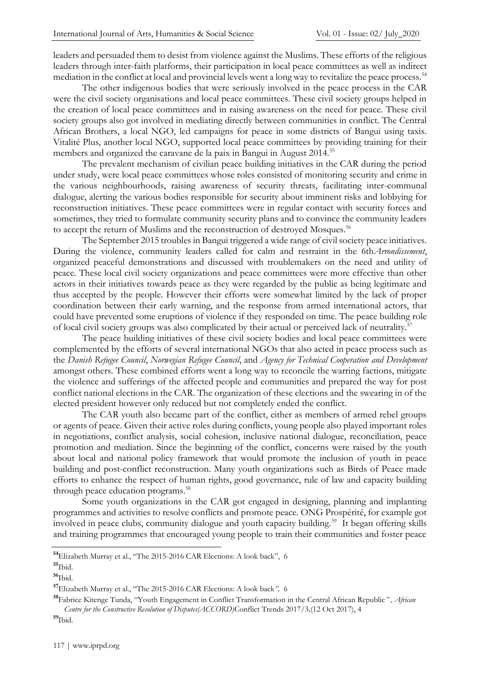leaders and persuaded them to desist from violence against the Muslims. These efforts of the religious leaders through inter-faith platforms, their participation in local peace committees as well as indirect mediation in the conflict at local and provincial levels went a long way to revitalize the peace process.<sup>54</sup>

The other indigenous bodies that were seriously involved in the peace process in the CAR were the civil society organisations and local peace committees. These civil society groups helped in the creation of local peace committees and in raising awareness on the need for peace. These civil society groups also got involved in mediating directly between communities in conflict. The Central African Brothers, a local NGO, led campaigns for peace in some districts of Bangui using taxis. Vitalité Plus, another local NGO, supported local peace committees by providing training for their members and organized the caravane de la paix in Bangui in August 2014.<sup>55</sup>

The prevalent mechanism of civilian peace building initiatives in the CAR during the period under study, were local peace committees whose roles consisted of monitoring security and crime in the various neighbourhoods, raising awareness of security threats, facilitating inter-communal dialogue, alerting the various bodies responsible for security about imminent risks and lobbying for reconstruction initiatives. These peace committees were in regular contact with security forces and sometimes, they tried to formulate community security plans and to convince the community leaders to accept the return of Muslims and the reconstruction of destroyed Mosques.<sup>56</sup>

The September 2015 troubles in Bangui triggered a wide range of civil society peace initiatives. During the violence, community leaders called for calm and restraint in the 6th*Arrondissement*, organized peaceful demonstrations and discussed with troublemakers on the need and utility of peace. These local civil society organizations and peace committees were more effective than other actors in their initiatives towards peace as they were regarded by the public as being legitimate and thus accepted by the people. However their efforts were somewhat limited by the lack of proper coordination between their early warning, and the response from armed international actors, that could have prevented some eruptions of violence if they responded on time. The peace building role of local civil society groups was also complicated by their actual or perceived lack of neutrality.<sup>57</sup>

The peace building initiatives of these civil society bodies and local peace committees were complemented by the efforts of several international NGOs that also acted in peace process such as the *Danish Refugee Council*, *Norwegian Refugee Council*, and *Agency for Technical Cooperation and Development*  amongst others. These combined efforts went a long way to reconcile the warring factions, mitigate the violence and sufferings of the affected people and communities and prepared the way for post conflict national elections in the CAR. The organization of these elections and the swearing in of the elected president however only reduced but not completely ended the conflict.

The CAR youth also became part of the conflict, either as members of armed rebel groups or agents of peace. Given their active roles during conflicts, young people also played important roles in negotiations, conflict analysis, social cohesion, inclusive national dialogue, reconciliation, peace promotion and mediation. Since the beginning of the conflict, concerns were raised by the youth about local and national policy framework that would promote the inclusion of youth in peace building and post-conflict reconstruction. Many youth organizations such as Birds of Peace made efforts to enhance the respect of human rights, good governance, rule of law and capacity building through peace education programs. 58

Some youth organizations in the CAR got engaged in designing, planning and implanting programmes and activities to resolve conflicts and promote peace. ONG Prospérité, for example got involved in peace clubs, community dialogue and youth capacity building.<sup>59</sup> It began offering skills and training programmes that encouraged young people to train their communities and foster peace

**<sup>54</sup>**Elizabeth Murray et al., "The 2015-2016 CAR Elections: A look back", 6

**<sup>55</sup>**Ibid.

**<sup>56</sup>**Ibid.

**<sup>57</sup>**Elizabeth Murray et al., "The 2015-2016 CAR Elections: A look back*",* 6

**<sup>58</sup>**Fabrice Kitenge Tunda, "Youth Engagement in Conflict Transformation in the Central African Republic*" , African Centre for the Constructive Resolution of Disputes(ACCORD)*Conflict Trends 2017/3*,*(12 Oct 2017), 4

**<sup>59</sup>**Ibid.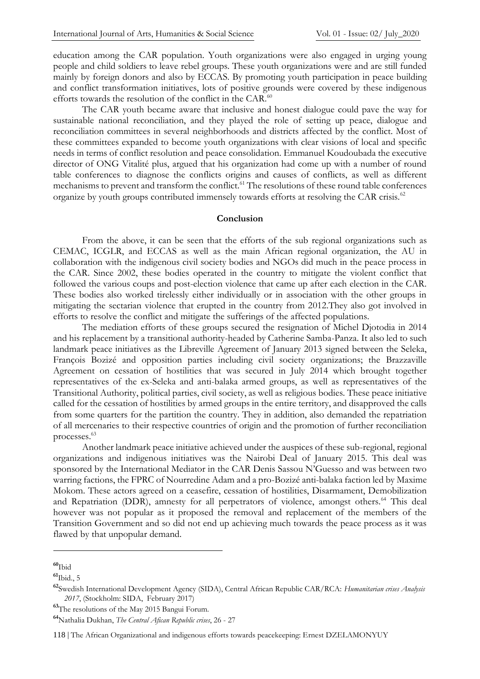education among the CAR population. Youth organizations were also engaged in urging young people and child soldiers to leave rebel groups. These youth organizations were and are still funded mainly by foreign donors and also by ECCAS. By promoting youth participation in peace building and conflict transformation initiatives, lots of positive grounds were covered by these indigenous efforts towards the resolution of the conflict in the CAR.<sup>60</sup>

The CAR youth became aware that inclusive and honest dialogue could pave the way for sustainable national reconciliation, and they played the role of setting up peace, dialogue and reconciliation committees in several neighborhoods and districts affected by the conflict. Most of these committees expanded to become youth organizations with clear visions of local and specific needs in terms of conflict resolution and peace consolidation. Emmanuel Koudoubada the executive director of ONG Vitalité plus, argued that his organization had come up with a number of round table conferences to diagnose the conflicts origins and causes of conflicts, as well as different mechanisms to prevent and transform the conflict.<sup>61</sup> The resolutions of these round table conferences organize by youth groups contributed immensely towards efforts at resolving the CAR crisis.<sup>62</sup>

#### **Conclusion**

From the above, it can be seen that the efforts of the sub regional organizations such as CEMAC, ICGLR, and ECCAS as well as the main African regional organization, the AU in collaboration with the indigenous civil society bodies and NGOs did much in the peace process in the CAR. Since 2002, these bodies operated in the country to mitigate the violent conflict that followed the various coups and post-election violence that came up after each election in the CAR. These bodies also worked tirelessly either individually or in association with the other groups in mitigating the sectarian violence that erupted in the country from 2012.They also got involved in efforts to resolve the conflict and mitigate the sufferings of the affected populations.

The mediation efforts of these groups secured the resignation of Michel Djotodia in 2014 and his replacement by a transitional authority-headed by Catherine Samba-Panza. It also led to such landmark peace initiatives as the Libreville Agreement of January 2013 signed between the Seleka, François Bozizé and opposition parties including civil society organizations; the Brazzaville Agreement on cessation of hostilities that was secured in July 2014 which brought together representatives of the ex-Seleka and anti-balaka armed groups, as well as representatives of the Transitional Authority, political parties, civil society, as well as religious bodies. These peace initiative called for the cessation of hostilities by armed groups in the entire territory, and disapproved the calls from some quarters for the partition the country. They in addition, also demanded the repatriation of all mercenaries to their respective countries of origin and the promotion of further reconciliation processes.<sup>63</sup>

Another landmark peace initiative achieved under the auspices of these sub-regional, regional organizations and indigenous initiatives was the Nairobi Deal of January 2015. This deal was sponsored by the International Mediator in the CAR Denis Sassou N'Guesso and was between two warring factions, the FPRC of Nourredine Adam and a pro-Bozizé anti-balaka faction led by Maxime Mokom. These actors agreed on a ceasefire, cessation of hostilities, Disarmament, Demobilization and Repatriation (DDR), amnesty for all perpetrators of violence, amongst others.<sup>64</sup> This deal however was not popular as it proposed the removal and replacement of the members of the Transition Government and so did not end up achieving much towards the peace process as it was flawed by that unpopular demand.

**<sup>60</sup>**Ibid

**<sup>61</sup>**Ibid., 5

**<sup>62</sup>**Swedish International Development Agency (SIDA), Central African Republic CAR/RCA: *Humanitarian crises Analysis 2017*, (Stockholm: SIDA, February 2017)

**<sup>63</sup>**The resolutions of the May 2015 Bangui Forum.

**<sup>64</sup>**Nathalia Dukhan, *The Central Afican Republic crises*, 26 - 27

<sup>118</sup> | The African Organizational and indigenous efforts towards peacekeeping: Ernest DZELAMONYUY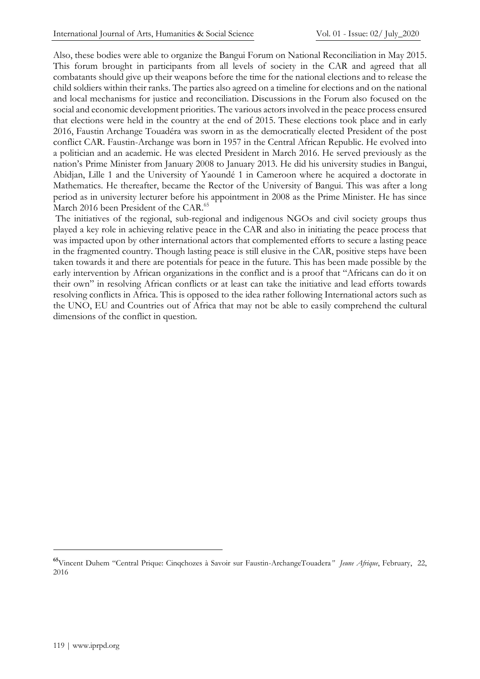Also, these bodies were able to organize the Bangui Forum on National Reconciliation in May 2015. This forum brought in participants from all levels of society in the CAR and agreed that all combatants should give up their weapons before the time for the national elections and to release the child soldiers within their ranks. The parties also agreed on a timeline for elections and on the national and local mechanisms for justice and reconciliation. Discussions in the Forum also focused on the social and economic development priorities. The various actors involved in the peace process ensured that elections were held in the country at the end of 2015. These elections took place and in early 2016, Faustin Archange Touadéra was sworn in as the democratically elected President of the post conflict CAR. Faustin-Archange was born in 1957 in the Central African Republic. He evolved into a politician and an academic. He was elected President in March 2016. He served previously as the nation's Prime Minister from January 2008 to January 2013. He did his university studies in Bangui, Abidjan, Lille 1 and the University of Yaoundé 1 in Cameroon where he acquired a doctorate in Mathematics. He thereafter, became the Rector of the University of Bangui. This was after a long period as in university lecturer before his appointment in 2008 as the Prime Minister. He has since March 2016 been President of the CAR.<sup>65</sup>

The initiatives of the regional, sub-regional and indigenous NGOs and civil society groups thus played a key role in achieving relative peace in the CAR and also in initiating the peace process that was impacted upon by other international actors that complemented efforts to secure a lasting peace in the fragmented country. Though lasting peace is still elusive in the CAR, positive steps have been taken towards it and there are potentials for peace in the future. This has been made possible by the early intervention by African organizations in the conflict and is a proof that "Africans can do it on their own" in resolving African conflicts or at least can take the initiative and lead efforts towards resolving conflicts in Africa. This is opposed to the idea rather following International actors such as the UNO, EU and Countries out of Africa that may not be able to easily comprehend the cultural dimensions of the conflict in question.

**<sup>65</sup>**Vincent Duhem "Central Prique: Cinqchozes à Savoir sur Faustin-ArchangeTouadera*" Jeune Afrique*, February, 22, 2016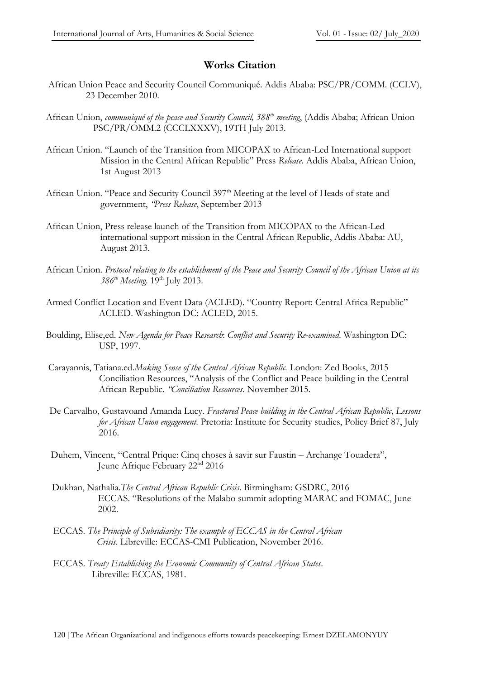# **Works Citation**

- African Union Peace and Security Council Communiqué. Addis Ababa: PSC/PR/COMM. (CCLV), 23 December 2010.
- African Union, *communiqué of the peace and Security Council, 388th meeting*, (Addis Ababa; African Union PSC/PR/OMM.2 (CCCLXXXV), 19TH July 2013.
- African Union. "Launch of the Transition from MICOPAX to African-Led International support Mission in the Central African Republic" Press *Release*. Addis Ababa, African Union, 1st August 2013
- African Union. "Peace and Security Council 397<sup>th</sup> Meeting at the level of Heads of state and government, *"Press Release*, September 2013
- African Union, Press release launch of the Transition from MICOPAX to the African-Led international support mission in the Central African Republic, Addis Ababa: AU, August 2013.
- African Union. *Protocol relating to the establishment of the Peace and Security Council of the African Union at its 386th Meeting*. 19th July 2013.
- Armed Conflict Location and Event Data (ACLED). "Country Report: Central Africa Republic" ACLED. Washington DC: ACLED, 2015.
- Boulding, Elise,ed. *New Agenda for Peace Research*: *Conflict and Security Re-examined*. Washington DC: USP, 1997.
- Carayannis, Tatiana.ed.*Making Sense of the Central African Republic.* London: Zed Books, 2015 Conciliation Resources, "Analysis of the Conflict and Peace building in the Central African Republic. *"Conciliation Resources*. November 2015.
- De Carvalho, Gustavoand Amanda Lucy. *Fractured Peace building in the Central African Republic*, *Lessons for African Union engagement*. Pretoria: Institute for Security studies, Policy Brief 87, July 2016.
- Duhem, Vincent, "Central Prique: Cinq choses à savir sur Faustin Archange Touadera", Jeune Afrique February 22nd 2016
- Dukhan, Nathalia.*The Central African Republic Crisis*. Birmingham: GSDRC, 2016 ECCAS. "Resolutions of the Malabo summit adopting MARAC and FOMAC, June 2002.
- ECCAS. *The Principle of Subsidiarity: The example of ECCAS in the Central African Crisis*. Libreville: ECCAS-CMI Publication, November 2016.
- ECCAS. *Treaty Establishing the Economic Community of Central African States*. Libreville: ECCAS, 1981.